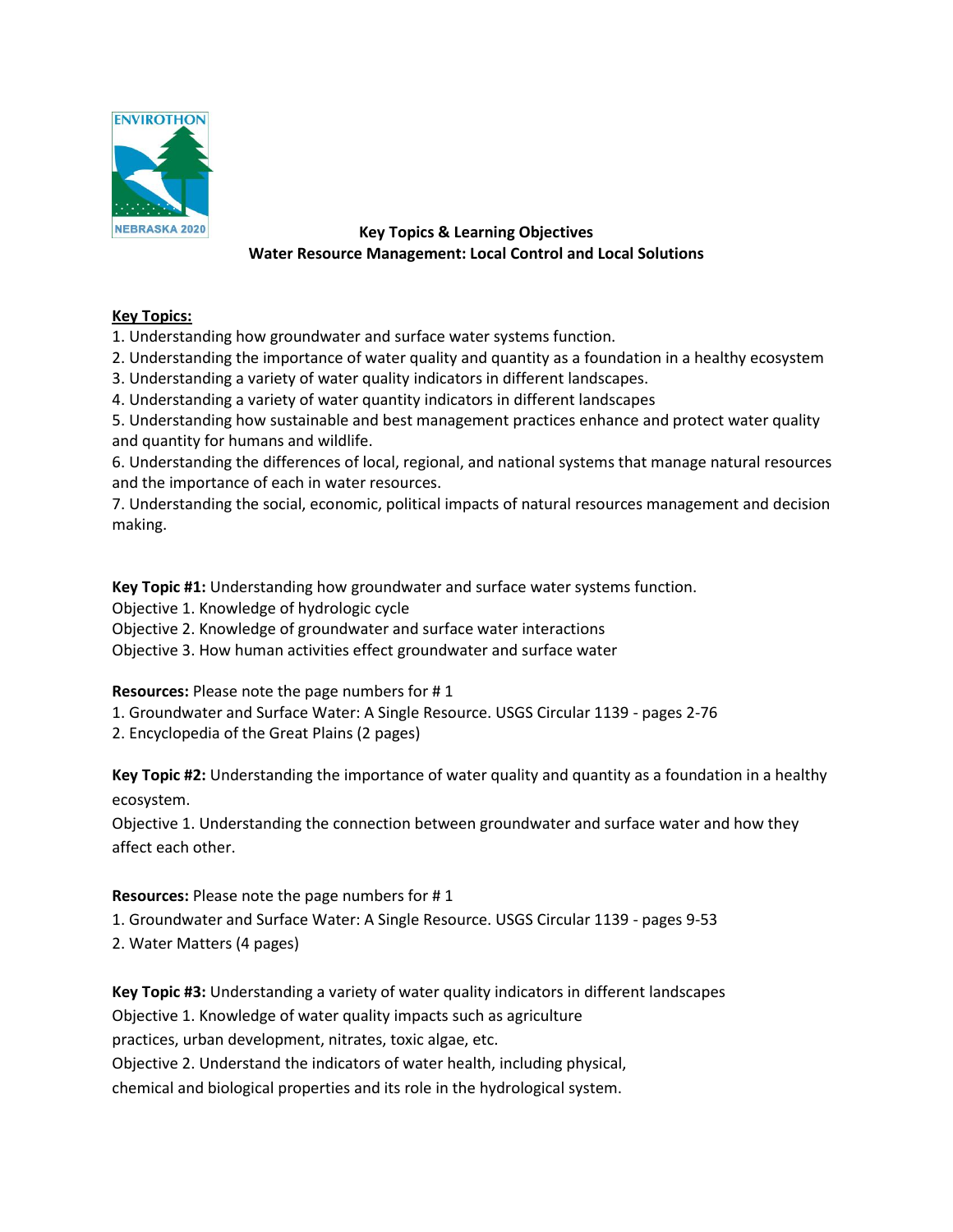

# **Key Topics & Learning Objectives Water Resource Management: Local Control and Local Solutions**

# **Key Topics:**

1. Understanding how groundwater and surface water systems function.

- 2. Understanding the importance of water quality and quantity as a foundation in a healthy ecosystem
- 3. Understanding a variety of water quality indicators in different landscapes.
- 4. Understanding a variety of water quantity indicators in different landscapes

5. Understanding how sustainable and best management practices enhance and protect water quality and quantity for humans and wildlife.

6. Understanding the differences of local, regional, and national systems that manage natural resources and the importance of each in water resources.

7. Understanding the social, economic, political impacts of natural resources management and decision making.

**Key Topic #1:** Understanding how groundwater and surface water systems function. Objective 1. Knowledge of hydrologic cycle Objective 2. Knowledge of groundwater and surface water interactions Objective 3. How human activities effect groundwater and surface water

**Resources:** Please note the page numbers for # 1

- 1. Groundwater and Surface Water: A Single Resource. USGS Circular 1139 pages 2-76
- 2. Encyclopedia of the Great Plains (2 pages)

**Key Topic #2:** Understanding the importance of water quality and quantity as a foundation in a healthy ecosystem.

Objective 1. Understanding the connection between groundwater and surface water and how they affect each other.

# **Resources:** Please note the page numbers for # 1

- 1. Groundwater and Surface Water: A Single Resource. USGS Circular 1139 pages 9-53
- 2. Water Matters (4 pages)

**Key Topic #3:** Understanding a variety of water quality indicators in different landscapes Objective 1. Knowledge of water quality impacts such as agriculture practices, urban development, nitrates, toxic algae, etc.

Objective 2. Understand the indicators of water health, including physical,

chemical and biological properties and its role in the hydrological system.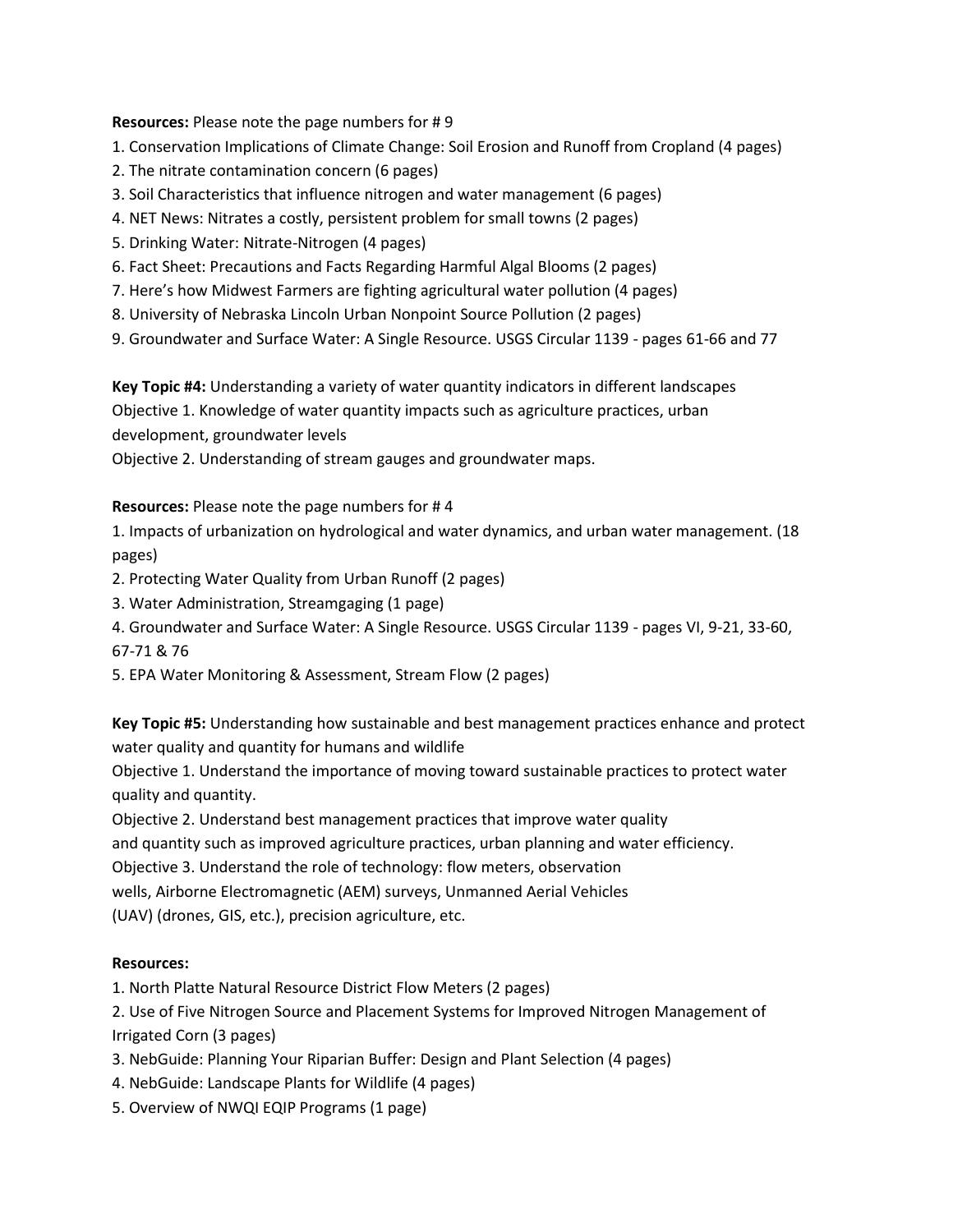**Resources:** Please note the page numbers for # 9

- 1. Conservation Implications of Climate Change: Soil Erosion and Runoff from Cropland (4 pages)
- 2. The nitrate contamination concern (6 pages)
- 3. Soil Characteristics that influence nitrogen and water management (6 pages)
- 4. NET News: Nitrates a costly, persistent problem for small towns (2 pages)
- 5. Drinking Water: Nitrate-Nitrogen (4 pages)
- 6. Fact Sheet: Precautions and Facts Regarding Harmful Algal Blooms (2 pages)
- 7. Here's how Midwest Farmers are fighting agricultural water pollution (4 pages)
- 8. University of Nebraska Lincoln Urban Nonpoint Source Pollution (2 pages)
- 9. Groundwater and Surface Water: A Single Resource. USGS Circular 1139 pages 61-66 and 77

**Key Topic #4:** Understanding a variety of water quantity indicators in different landscapes

Objective 1. Knowledge of water quantity impacts such as agriculture practices, urban

development, groundwater levels

Objective 2. Understanding of stream gauges and groundwater maps.

## **Resources:** Please note the page numbers for # 4

1. Impacts of urbanization on hydrological and water dynamics, and urban water management. (18 pages)

- 2. Protecting Water Quality from Urban Runoff (2 pages)
- 3. Water Administration, Streamgaging (1 page)
- 4. Groundwater and Surface Water: A Single Resource. USGS Circular 1139 pages VI, 9-21, 33-60, 67-71 & 76
- 5. EPA Water Monitoring & Assessment, Stream Flow (2 pages)

**Key Topic #5:** Understanding how sustainable and best management practices enhance and protect water quality and quantity for humans and wildlife

Objective 1. Understand the importance of moving toward sustainable practices to protect water quality and quantity.

Objective 2. Understand best management practices that improve water quality

and quantity such as improved agriculture practices, urban planning and water efficiency.

Objective 3. Understand the role of technology: flow meters, observation

wells, Airborne Electromagnetic (AEM) surveys, Unmanned Aerial Vehicles

(UAV) (drones, GIS, etc.), precision agriculture, etc.

# **Resources:**

1. North Platte Natural Resource District Flow Meters (2 pages)

2. Use of Five Nitrogen Source and Placement Systems for Improved Nitrogen Management of Irrigated Corn (3 pages)

- 3. NebGuide: Planning Your Riparian Buffer: Design and Plant Selection (4 pages)
- 4. NebGuide: Landscape Plants for Wildlife (4 pages)
- 5. Overview of NWQI EQIP Programs (1 page)